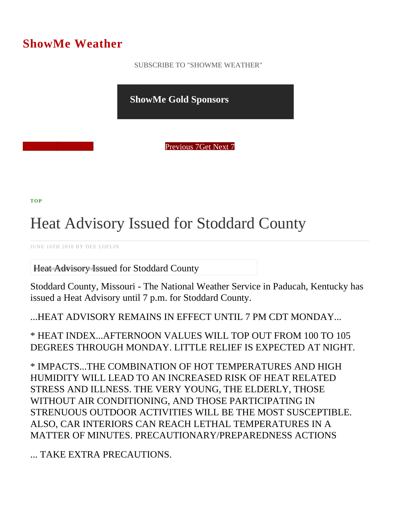## ShowMe Weather

 [SUBSCRIBE TO "SHOWME WEATHER"](/blog_rss.php)

ShowMe Gold Sponsors

Previous Get Next 7

[TOP](/var/www/showmetimes.com/root/javascript:blogScrollToTop()

## Heat Advisory Issued for Stoddard County

JUNE 16TH 2018 BY DEE LOFLIN

Heat Advisory Issued for Stoddard County

Stoddard County, Missouri - The National Weather Service in Paducah, Kentucky has issued a Heat Advisory until 7 p.m. for Stoddard County.

...HEAT ADVISORY REMAINS IN EFFECT UNTIL 7 PM CDT MONDAY...

\* HEAT INDEX...AFTERNOON VALUES WILL TOP OUT FROM 100 TO 105 DEGREES THROUGH MONDAY. LITTLE RELIEF IS EXPECTED AT NIGHT.

\* IMPACTS...THE COMBINATION OF HOT TEMPERATURES AND HIGH HUMIDITY WILL LEAD TO AN INCREASED RISK OF HEAT RELATED STRESS AND ILLNESS. THE VERY YOUNG, THE ELDERLY, THOSE WITHOUT AIR CONDITIONING, AND THOSE PARTICIPATING IN STRENUOUS OUTDOOR ACTIVITIES WILL BE THE MOST SUSCEPTIBLE. ALSO, CAR INTERIORS CAN REACH LETHAL TEMPERATURES IN A MATTER OF MINUTES. PRECAUTIONARY/PREPAREDNESS ACTIONS

... TAKE EXTRA PRECAUTIONS.